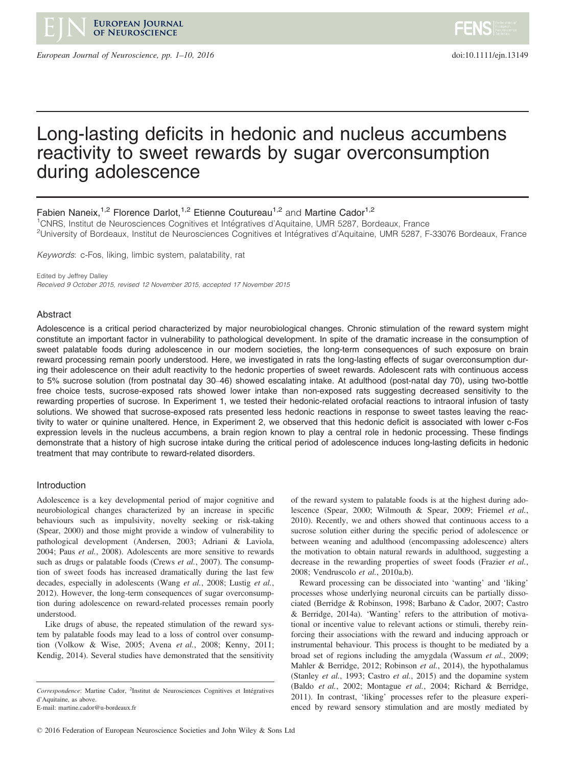

European Journal of Neuroscience, pp. 1–10, 2016 doi:10.1111/ejn.13149

# Long-lasting deficits in hedonic and nucleus accumbens reactivity to sweet rewards by sugar overconsumption during adolescence

# Fabien Naneix,<sup>1,2</sup> Florence Darlot,<sup>1,2</sup> Etienne Coutureau<sup>1,2</sup> and Martine Cador<sup>1,2</sup>

<sup>1</sup>CNRS, Institut de Neurosciences Cognitives et Intégratives d'Aquitaine, UMR 5287, Bordeaux, France<br><sup>2</sup>Llpiversity of Bordeaux, Institut de Neurosciences Cognitives et Intégratives d'Aquitaine, LIMB 5287, E University of Bordeaux, Institut de Neurosciences Cognitives et Integratives d'Aquitaine, UMR 5287, F-33076 Bordeaux, France

Keywords: c-Fos, liking, limbic system, palatability, rat

Edited by Jeffrey Dalley Received 9 October 2015, revised 12 November 2015, accepted 17 November 2015

# Abstract

Adolescence is a critical period characterized by major neurobiological changes. Chronic stimulation of the reward system might constitute an important factor in vulnerability to pathological development. In spite of the dramatic increase in the consumption of sweet palatable foods during adolescence in our modern societies, the long-term consequences of such exposure on brain reward processing remain poorly understood. Here, we investigated in rats the long-lasting effects of sugar overconsumption during their adolescence on their adult reactivity to the hedonic properties of sweet rewards. Adolescent rats with continuous access to 5% sucrose solution (from postnatal day 30–46) showed escalating intake. At adulthood (post-natal day 70), using two-bottle free choice tests, sucrose-exposed rats showed lower intake than non-exposed rats suggesting decreased sensitivity to the rewarding properties of sucrose. In Experiment 1, we tested their hedonic-related orofacial reactions to intraoral infusion of tasty solutions. We showed that sucrose-exposed rats presented less hedonic reactions in response to sweet tastes leaving the reactivity to water or quinine unaltered. Hence, in Experiment 2, we observed that this hedonic deficit is associated with lower c-Fos expression levels in the nucleus accumbens, a brain region known to play a central role in hedonic processing. These findings demonstrate that a history of high sucrose intake during the critical period of adolescence induces long-lasting deficits in hedonic treatment that may contribute to reward-related disorders.

# Introduction

Adolescence is a key developmental period of major cognitive and neurobiological changes characterized by an increase in specific behaviours such as impulsivity, novelty seeking or risk-taking (Spear, 2000) and those might provide a window of vulnerability to pathological development (Andersen, 2003; Adriani & Laviola, 2004; Paus et al., 2008). Adolescents are more sensitive to rewards such as drugs or palatable foods (Crews et al., 2007). The consumption of sweet foods has increased dramatically during the last few decades, especially in adolescents (Wang *et al.*, 2008; Lustig *et al.*, 2012). However, the long-term consequences of sugar overconsumption during adolescence on reward-related processes remain poorly understood.

Like drugs of abuse, the repeated stimulation of the reward system by palatable foods may lead to a loss of control over consumption (Volkow & Wise, 2005; Avena et al., 2008; Kenny, 2011; Kendig, 2014). Several studies have demonstrated that the sensitivity of the reward system to palatable foods is at the highest during adolescence (Spear, 2000; Wilmouth & Spear, 2009; Friemel et al., 2010). Recently, we and others showed that continuous access to a sucrose solution either during the specific period of adolescence or between weaning and adulthood (encompassing adolescence) alters the motivation to obtain natural rewards in adulthood, suggesting a decrease in the rewarding properties of sweet foods (Frazier et al., 2008; Vendruscolo et al., 2010a,b).

Reward processing can be dissociated into 'wanting' and 'liking' processes whose underlying neuronal circuits can be partially dissociated (Berridge & Robinson, 1998; Barbano & Cador, 2007; Castro & Berridge, 2014a). 'Wanting' refers to the attribution of motivational or incentive value to relevant actions or stimuli, thereby reinforcing their associations with the reward and inducing approach or instrumental behaviour. This process is thought to be mediated by a broad set of regions including the amygdala (Wassum et al., 2009; Mahler & Berridge, 2012; Robinson et al., 2014), the hypothalamus (Stanley et al., 1993; Castro et al., 2015) and the dopamine system (Baldo et al., 2002; Montague et al., 2004; Richard & Berridge, 2011). In contrast, 'liking' processes refer to the pleasure experienced by reward sensory stimulation and are mostly mediated by

Correspondence: Martine Cador, <sup>2</sup>Institut de Neurosciences Cognitives et Intégratives d'Aquitaine, as above.

E-mail: martine.cador@u-bordeaux.fr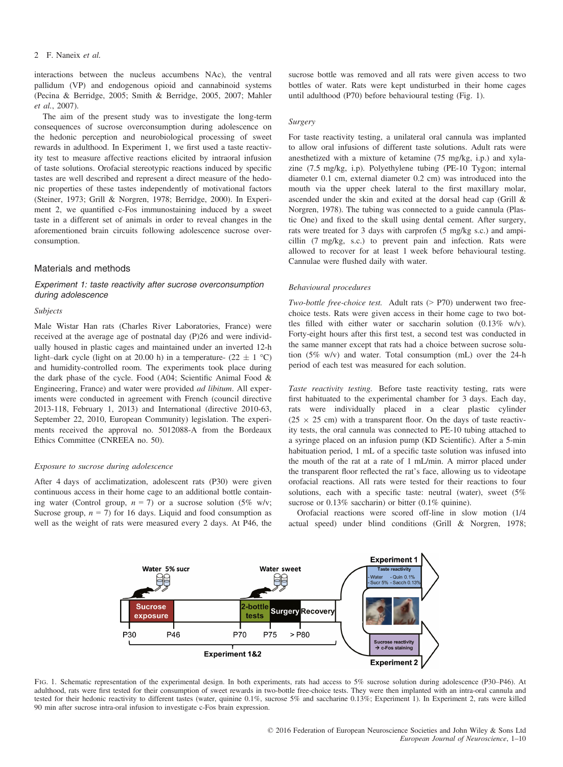#### 2 F. Naneix et al.

interactions between the nucleus accumbens NAc), the ventral pallidum (VP) and endogenous opioid and cannabinoid systems (Pecina & Berridge, 2005; Smith & Berridge, 2005, 2007; Mahler et al., 2007).

The aim of the present study was to investigate the long-term consequences of sucrose overconsumption during adolescence on the hedonic perception and neurobiological processing of sweet rewards in adulthood. In Experiment 1, we first used a taste reactivity test to measure affective reactions elicited by intraoral infusion of taste solutions. Orofacial stereotypic reactions induced by specific tastes are well described and represent a direct measure of the hedonic properties of these tastes independently of motivational factors (Steiner, 1973; Grill & Norgren, 1978; Berridge, 2000). In Experiment 2, we quantified c-Fos immunostaining induced by a sweet taste in a different set of animals in order to reveal changes in the aforementioned brain circuits following adolescence sucrose overconsumption.

## Materials and methods

# Experiment 1: taste reactivity after sucrose overconsumption during adolescence

#### Subjects

Male Wistar Han rats (Charles River Laboratories, France) were received at the average age of postnatal day (P)26 and were individually housed in plastic cages and maintained under an inverted 12-h light–dark cycle (light on at 20.00 h) in a temperature-  $(22 \pm 1 \degree C)$ and humidity-controlled room. The experiments took place during the dark phase of the cycle. Food (A04; Scientific Animal Food & Engineering, France) and water were provided ad libitum. All experiments were conducted in agreement with French (council directive 2013-118, February 1, 2013) and International (directive 2010-63, September 22, 2010, European Community) legislation. The experiments received the approval no. 5012088-A from the Bordeaux Ethics Committee (CNREEA no. 50).

#### Exposure to sucrose during adolescence

After 4 days of acclimatization, adolescent rats (P30) were given continuous access in their home cage to an additional bottle containing water (Control group,  $n = 7$ ) or a sucrose solution (5% w/v; Sucrose group,  $n = 7$ ) for 16 days. Liquid and food consumption as well as the weight of rats were measured every 2 days. At P46, the

sucrose bottle was removed and all rats were given access to two bottles of water. Rats were kept undisturbed in their home cages until adulthood (P70) before behavioural testing (Fig. 1).

### Surgery

For taste reactivity testing, a unilateral oral cannula was implanted to allow oral infusions of different taste solutions. Adult rats were anesthetized with a mixture of ketamine (75 mg/kg, i.p.) and xylazine (7.5 mg/kg, i.p). Polyethylene tubing (PE-10 Tygon; internal diameter 0.1 cm, external diameter 0.2 cm) was introduced into the mouth via the upper cheek lateral to the first maxillary molar, ascended under the skin and exited at the dorsal head cap (Grill & Norgren, 1978). The tubing was connected to a guide cannula (Plastic One) and fixed to the skull using dental cement. After surgery, rats were treated for 3 days with carprofen (5 mg/kg s.c.) and ampicillin (7 mg/kg, s.c.) to prevent pain and infection. Rats were allowed to recover for at least 1 week before behavioural testing. Cannulae were flushed daily with water.

#### Behavioural procedures

Two-bottle free-choice test. Adult rats (> P70) underwent two freechoice tests. Rats were given access in their home cage to two bottles filled with either water or saccharin solution (0.13% w/v). Forty-eight hours after this first test, a second test was conducted in the same manner except that rats had a choice between sucrose solution (5% w/v) and water. Total consumption (mL) over the 24-h period of each test was measured for each solution.

Taste reactivity testing. Before taste reactivity testing, rats were first habituated to the experimental chamber for 3 days. Each day, rats were individually placed in a clear plastic cylinder (25  $\times$  25 cm) with a transparent floor. On the days of taste reactivity tests, the oral cannula was connected to PE-10 tubing attached to a syringe placed on an infusion pump (KD Scientific). After a 5-min habituation period, 1 mL of a specific taste solution was infused into the mouth of the rat at a rate of 1 mL/min. A mirror placed under the transparent floor reflected the rat's face, allowing us to videotape orofacial reactions. All rats were tested for their reactions to four solutions, each with a specific taste: neutral (water), sweet (5%) sucrose or 0.13% saccharin) or bitter (0.1% quinine).

Orofacial reactions were scored off-line in slow motion (1/4 actual speed) under blind conditions (Grill & Norgren, 1978;



FIG. 1. Schematic representation of the experimental design. In both experiments, rats had access to 5% sucrose solution during adolescence (P30–P46). At adulthood, rats were first tested for their consumption of sweet rewards in two-bottle free-choice tests. They were then implanted with an intra-oral cannula and tested for their hedonic reactivity to different tastes (water, quinine 0.1%, sucrose 5% and saccharine 0.13%; Experiment 1). In Experiment 2, rats were killed 90 min after sucrose intra-oral infusion to investigate c-Fos brain expression.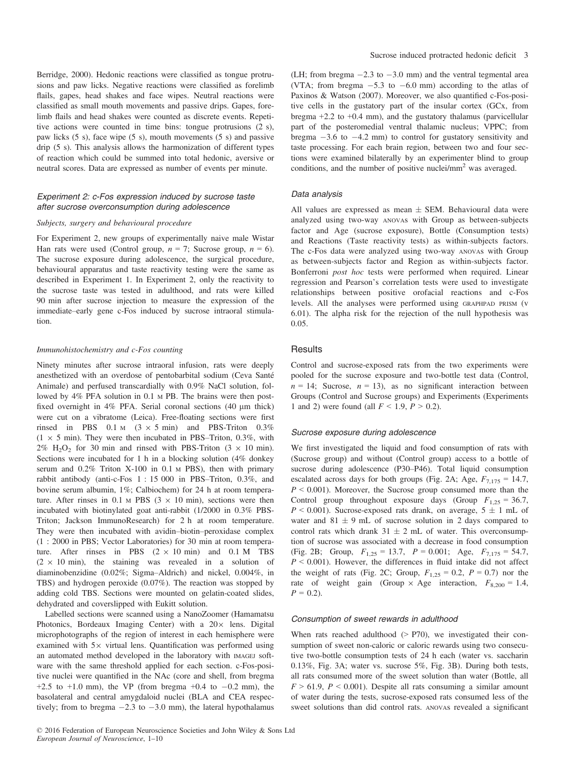Berridge, 2000). Hedonic reactions were classified as tongue protrusions and paw licks. Negative reactions were classified as forelimb flails, gapes, head shakes and face wipes. Neutral reactions were classified as small mouth movements and passive drips. Gapes, forelimb flails and head shakes were counted as discrete events. Repetitive actions were counted in time bins: tongue protrusions (2 s), paw licks (5 s), face wipe (5 s), mouth movements (5 s) and passive drip (5 s). This analysis allows the harmonization of different types of reaction which could be summed into total hedonic, aversive or neutral scores. Data are expressed as number of events per minute.

## Experiment 2: c-Fos expression induced by sucrose taste after sucrose overconsumption during adolescence

# Subjects, surgery and behavioural procedure

For Experiment 2, new groups of experimentally naive male Wistar Han rats were used (Control group,  $n = 7$ ; Sucrose group,  $n = 6$ ). The sucrose exposure during adolescence, the surgical procedure, behavioural apparatus and taste reactivity testing were the same as described in Experiment 1. In Experiment 2, only the reactivity to the sucrose taste was tested in adulthood, and rats were killed 90 min after sucrose injection to measure the expression of the immediate–early gene c-Fos induced by sucrose intraoral stimulation.

#### Immunohistochemistry and c-Fos counting

Ninety minutes after sucrose intraoral infusion, rats were deeply anesthetized with an overdose of pentobarbital sodium (Ceva Sante Animale) and perfused transcardially with 0.9% NaCl solution, followed by 4% PFA solution in 0.1 <sup>M</sup> PB. The brains were then postfixed overnight in  $4\%$  PFA. Serial coronal sections (40  $\mu$ m thick) were cut on a vibratome (Leica). Free-floating sections were first rinsed in PBS  $0.1 \text{ M}$   $(3 \times 5 \text{ min})$  and PBS-Triton  $0.3\%$  $(1 \times 5 \text{ min})$ . They were then incubated in PBS–Triton, 0.3%, with  $2\%$  H<sub>2</sub>O<sub>2</sub> for 30 min and rinsed with PBS-Triton (3  $\times$  10 min). Sections were incubated for 1 h in a blocking solution (4% donkey serum and 0.2% Triton X-100 in 0.1 <sup>M</sup> PBS), then with primary rabbit antibody (anti-c-Fos 1 : 15 000 in PBS–Triton, 0.3%, and bovine serum albumin, 1%; Calbiochem) for 24 h at room temperature. After rinses in 0.1 M PBS ( $3 \times 10$  min), sections were then incubated with biotinylated goat anti-rabbit (1/2000 in 0.3% PBS-Triton; Jackson ImmunoResearch) for 2 h at room temperature. They were then incubated with avidin–biotin–peroxidase complex (1 : 2000 in PBS; Vector Laboratories) for 30 min at room temperature. After rinses in PBS  $(2 \times 10 \text{ min})$  and  $0.1 \text{ M}$  TBS  $(2 \times 10 \text{ min})$ , the staining was revealed in a solution of diaminobenzidine (0.02%; Sigma–Aldrich) and nickel, 0.004%, in TBS) and hydrogen peroxide (0.07%). The reaction was stopped by adding cold TBS. Sections were mounted on gelatin-coated slides, dehydrated and coverslipped with Eukitt solution.

Labelled sections were scanned using a NanoZoomer (Hamamatsu Photonics, Bordeaux Imaging Center) with a  $20 \times$  lens. Digital microphotographs of the region of interest in each hemisphere were examined with  $5\times$  virtual lens. Quantification was performed using an automated method developed in the laboratory with IMAGEJ software with the same threshold applied for each section. c-Fos-positive nuclei were quantified in the NAc (core and shell, from bregma  $+2.5$  to  $+1.0$  mm), the VP (from bregma  $+0.4$  to  $-0.2$  mm), the basolateral and central amygdaloid nuclei (BLA and CEA respectively; from to bregma  $-2.3$  to  $-3.0$  mm), the lateral hypothalamus

(LH; from bregma  $-2.3$  to  $-3.0$  mm) and the ventral tegmental area (VTA; from bregma  $-5.3$  to  $-6.0$  mm) according to the atlas of Paxinos & Watson (2007). Moreover, we also quantified c-Fos-positive cells in the gustatory part of the insular cortex (GCx, from bregma +2.2 to +0.4 mm), and the gustatory thalamus (parvicellular part of the posteromedial ventral thalamic nucleus; VPPC; from bregma  $-3.6$  to  $-4.2$  mm) to control for gustatory sensitivity and taste processing. For each brain region, between two and four sections were examined bilaterally by an experimenter blind to group conditions, and the number of positive nuclei/mm<sup>2</sup> was averaged.

## Data analysis

All values are expressed as mean  $\pm$  SEM. Behavioural data were analyzed using two-way ANOVAs with Group as between-subjects factor and Age (sucrose exposure), Bottle (Consumption tests) and Reactions (Taste reactivity tests) as within-subjects factors. The c-Fos data were analyzed using two-way ANOVAs with Group as between-subjects factor and Region as within-subjects factor. Bonferroni post hoc tests were performed when required. Linear regression and Pearson's correlation tests were used to investigate relationships between positive orofacial reactions and c-Fos levels. All the analyses were performed using GRAPHPAD PRISM (v 6.01). The alpha risk for the rejection of the null hypothesis was 0.05.

#### **Results**

Control and sucrose-exposed rats from the two experiments were pooled for the sucrose exposure and two-bottle test data (Control,  $n = 14$ ; Sucrose,  $n = 13$ ), as no significant interaction between Groups (Control and Sucrose groups) and Experiments (Experiments 1 and 2) were found (all  $F < 1.9, P > 0.2$ ).

#### Sucrose exposure during adolescence

We first investigated the liquid and food consumption of rats with (Sucrose group) and without (Control group) access to a bottle of sucrose during adolescence (P30–P46). Total liquid consumption escalated across days for both groups (Fig. 2A; Age,  $F_{7,175} = 14.7$ ,  $P \le 0.001$ ). Moreover, the Sucrose group consumed more than the Control group throughout exposure days (Group  $F_{1,25} = 36.7$ ,  $P < 0.001$ ). Sucrose-exposed rats drank, on average,  $5 \pm 1$  mL of water and  $81 \pm 9$  mL of sucrose solution in 2 days compared to control rats which drank  $31 \pm 2$  mL of water. This overconsumption of sucrose was associated with a decrease in food consumption (Fig. 2B; Group,  $F_{1,25} = 13.7$ ,  $P = 0.001$ ; Age,  $F_{7,175} = 54.7$ ,  $P < 0.001$ ). However, the differences in fluid intake did not affect the weight of rats (Fig. 2C; Group,  $F_{1,25} = 0.2$ ,  $P = 0.7$ ) nor the rate of weight gain (Group  $\times$  Age interaction,  $F_{8,200} = 1.4$ ,  $P = 0.2$ ).

#### Consumption of sweet rewards in adulthood

When rats reached adulthood  $(> P70)$ , we investigated their consumption of sweet non-caloric or caloric rewards using two consecutive two-bottle consumption tests of 24 h each (water vs. saccharin 0.13%, Fig. 3A; water vs. sucrose 5%, Fig. 3B). During both tests, all rats consumed more of the sweet solution than water (Bottle, all  $F > 61.9$ ,  $P < 0.001$ ). Despite all rats consuming a similar amount of water during the tests, sucrose-exposed rats consumed less of the sweet solutions than did control rats. ANOVAs revealed a significant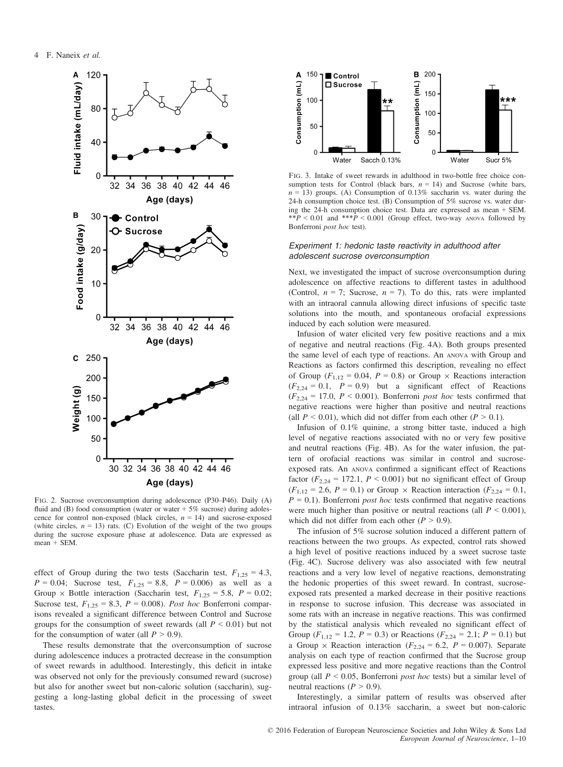

Fig. 2. Sucrose overconsumption during adolescence (P30–P46). Daily (A) fluid and (B) food consumption (water or water  $+5\%$  sucrose) during adolescence for control non-exposed (black circles,  $n = 14$ ) and sucrose-exposed (white circles,  $n = 13$ ) rats. (C) Evolution of the weight of the two groups during the sucrose exposure phase at adolescence. Data are expressed as mean + SEM.

effect of Group during the two tests (Saccharin test,  $F_{1,25} = 4.3$ ,  $P = 0.04$ ; Sucrose test,  $F_{1,25} = 8.8$ ,  $P = 0.006$ ) as well as a Group  $\times$  Bottle interaction (Saccharin test,  $F_{1,25} = 5.8$ ,  $P = 0.02$ ; Sucrose test,  $F_{1,25} = 8.3$ ,  $P = 0.008$ ). Post hoc Bonferroni comparisons revealed a significant difference between Control and Sucrose groups for the consumption of sweet rewards (all  $P < 0.01$ ) but not for the consumption of water (all  $P > 0.9$ ).

These results demonstrate that the overconsumption of sucrose during adolescence induces a protracted decrease in the consumption of sweet rewards in adulthood. Interestingly, this deficit in intake was observed not only for the previously consumed reward (sucrose) but also for another sweet but non-caloric solution (saccharin), suggesting a long-lasting global deficit in the processing of sweet tastes.



Fig. 3. Intake of sweet rewards in adulthood in two-bottle free choice consumption tests for Control (black bars,  $n = 14$ ) and Sucrose (white bars,  $n = 13$ ) groups. (A) Consumption of 0.13% saccharin vs. water during the 24-h consumption choice test. (B) Consumption of 5% sucrose vs. water during the 24-h consumption choice test. Data are expressed as mean + SEM. \*\*P < 0.01 and \*\*\*P < 0.001 (Group effect, two-way ANOVA followed by Bonferroni post hoc test).

#### Experiment 1: hedonic taste reactivity in adulthood after adolescent sucrose overconsumption

Next, we investigated the impact of sucrose overconsumption during adolescence on affective reactions to different tastes in adulthood (Control,  $n = 7$ ; Sucrose,  $n = 7$ ). To do this, rats were implanted with an intraoral cannula allowing direct infusions of specific taste solutions into the mouth, and spontaneous orofacial expressions induced by each solution were measured.

Infusion of water elicited very few positive reactions and a mix of negative and neutral reactions (Fig. 4A). Both groups presented the same level of each type of reactions. An ANOVA with Group and Reactions as factors confirmed this description, revealing no effect of Group ( $F_{1,12} = 0.04$ ,  $P = 0.8$ ) or Group  $\times$  Reactions interaction  $(F_{2,24} = 0.1, P = 0.9)$  but a significant effect of Reactions  $(F_{2,24} = 17.0, P < 0.001)$ . Bonferroni *post hoc* tests confirmed that negative reactions were higher than positive and neutral reactions (all  $P < 0.01$ ), which did not differ from each other ( $P > 0.1$ ).

Infusion of 0.1% quinine, a strong bitter taste, induced a high level of negative reactions associated with no or very few positive and neutral reactions (Fig. 4B). As for the water infusion, the pattern of orofacial reactions was similar in control and sucroseexposed rats. An ANOVA confirmed a significant effect of Reactions factor ( $F_{2,24}$  = 172.1,  $P < 0.001$ ) but no significant effect of Group  $(F_{1,12} = 2.6, P = 0.1)$  or Group  $\times$  Reaction interaction  $(F_{2,24} = 0.1,$  $P = 0.1$ ). Bonferroni *post hoc* tests confirmed that negative reactions were much higher than positive or neutral reactions (all  $P \le 0.001$ ), which did not differ from each other  $(P > 0.9)$ .

The infusion of 5% sucrose solution induced a different pattern of reactions between the two groups. As expected, control rats showed a high level of positive reactions induced by a sweet sucrose taste (Fig. 4C). Sucrose delivery was also associated with few neutral reactions and a very low level of negative reactions, demonstrating the hedonic properties of this sweet reward. In contrast, sucroseexposed rats presented a marked decrease in their positive reactions in response to sucrose infusion. This decrease was associated in some rats with an increase in negative reactions. This was confirmed by the statistical analysis which revealed no significant effect of Group ( $F_{1,12} = 1.2$ ,  $P = 0.3$ ) or Reactions ( $F_{2,24} = 2.1$ ;  $P = 0.1$ ) but a Group  $\times$  Reaction interaction ( $F_{2,24} = 6.2$ ,  $P = 0.007$ ). Separate analysis on each type of reaction confirmed that the Sucrose group expressed less positive and more negative reactions than the Control group (all  $P < 0.05$ , Bonferroni *post hoc* tests) but a similar level of neutral reactions ( $P > 0.9$ ).

Interestingly, a similar pattern of results was observed after intraoral infusion of 0.13% saccharin, a sweet but non-caloric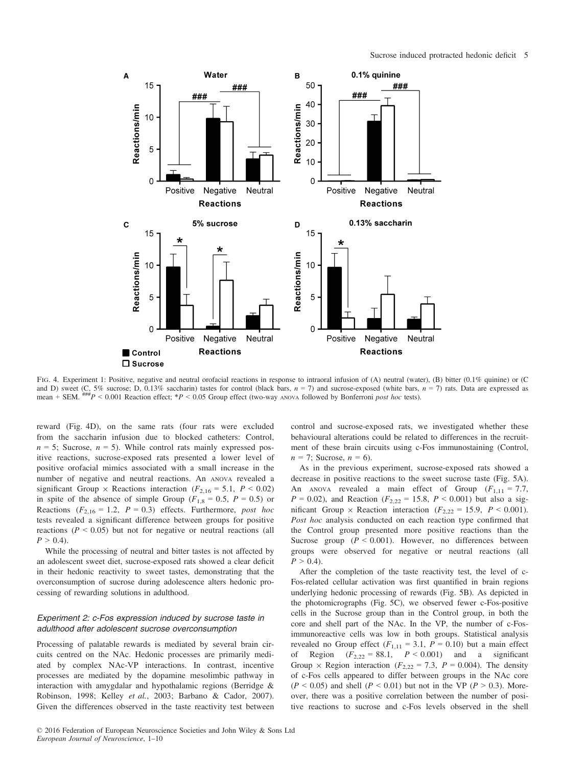

FIG. 4. Experiment 1: Positive, negative and neutral orofacial reactions in response to intraoral infusion of (A) neutral (water), (B) bitter (0.1% quinine) or (C and D) sweet (C, 5% sucrose; D, 0.13% saccharin) tastes fo

reward (Fig. 4D), on the same rats (four rats were excluded from the saccharin infusion due to blocked catheters: Control,  $n = 5$ ; Sucrose,  $n = 5$ ). While control rats mainly expressed positive reactions, sucrose-exposed rats presented a lower level of positive orofacial mimics associated with a small increase in the number of negative and neutral reactions. An ANOVA revealed a significant Group  $\times$  Reactions interaction ( $F_{2,16} = 5.1$ ,  $P < 0.02$ ) in spite of the absence of simple Group ( $F_{1,8} = 0.5$ ,  $P = 0.5$ ) or Reactions ( $F_{2,16} = 1.2$ ,  $P = 0.3$ ) effects. Furthermore, post hoc tests revealed a significant difference between groups for positive reactions ( $P < 0.05$ ) but not for negative or neutral reactions (all  $P > 0.4$ ).

While the processing of neutral and bitter tastes is not affected by an adolescent sweet diet, sucrose-exposed rats showed a clear deficit in their hedonic reactivity to sweet tastes, demonstrating that the overconsumption of sucrose during adolescence alters hedonic processing of rewarding solutions in adulthood.

## Experiment 2: c-Fos expression induced by sucrose taste in adulthood after adolescent sucrose overconsumption

Processing of palatable rewards is mediated by several brain circuits centred on the NAc. Hedonic processes are primarily mediated by complex NAc-VP interactions. In contrast, incentive processes are mediated by the dopamine mesolimbic pathway in interaction with amygdalar and hypothalamic regions (Berridge & Robinson, 1998; Kelley et al., 2003; Barbano & Cador, 2007). Given the differences observed in the taste reactivity test between control and sucrose-exposed rats, we investigated whether these behavioural alterations could be related to differences in the recruitment of these brain circuits using c-Fos immunostaining (Control,  $n = 7$ ; Sucrose,  $n = 6$ ).

As in the previous experiment, sucrose-exposed rats showed a decrease in positive reactions to the sweet sucrose taste (Fig. 5A). An ANOVA revealed a main effect of Group  $(F_{1,11} = 7.7,$  $P = 0.02$ ), and Reaction ( $F_{2,22} = 15.8$ ,  $P < 0.001$ ) but also a significant Group  $\times$  Reaction interaction ( $F_{2,22} = 15.9$ ,  $P < 0.001$ ). Post hoc analysis conducted on each reaction type confirmed that the Control group presented more positive reactions than the Sucrose group ( $P < 0.001$ ). However, no differences between groups were observed for negative or neutral reactions (all  $P > 0.4$ ).

After the completion of the taste reactivity test, the level of c-Fos-related cellular activation was first quantified in brain regions underlying hedonic processing of rewards (Fig. 5B). As depicted in the photomicrographs (Fig. 5C), we observed fewer c-Fos-positive cells in the Sucrose group than in the Control group, in both the core and shell part of the NAc. In the VP, the number of c-Fosimmunoreactive cells was low in both groups. Statistical analysis revealed no Group effect  $(F_{1,11} = 3.1, P = 0.10)$  but a main effect of Region  $(F_{2,22} = 88.1, P \le 0.001)$  and a significant Group  $\times$  Region interaction ( $F_{2,22} = 7.3$ ,  $P = 0.004$ ). The density of c-Fos cells appeared to differ between groups in the NAc core  $(P < 0.05)$  and shell  $(P < 0.01)$  but not in the VP  $(P > 0.3)$ . Moreover, there was a positive correlation between the number of positive reactions to sucrose and c-Fos levels observed in the shell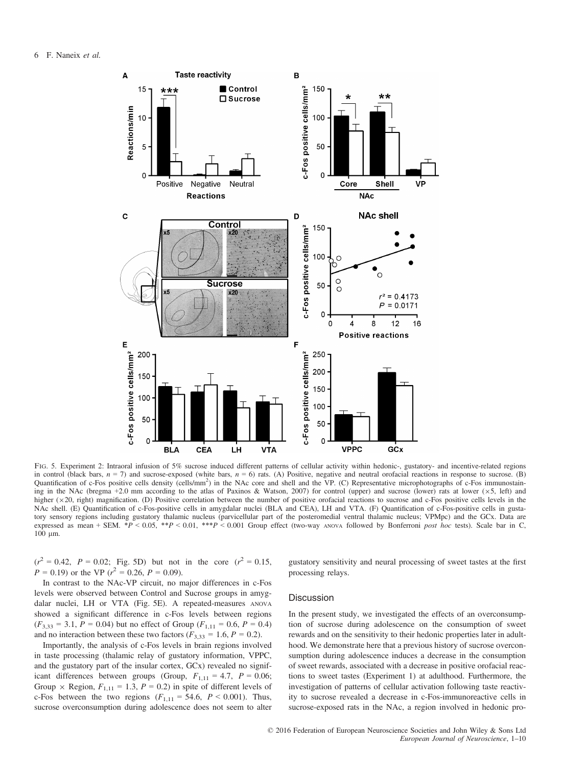

Fig. 5. Experiment 2: Intraoral infusion of 5% sucrose induced different patterns of cellular activity within hedonic-, gustatory- and incentive-related regions in control (black bars,  $n = 7$ ) and sucrose-exposed (white bars,  $n = 6$ ) rats. (A) Positive, negative and neutral orofacial reactions in response to sucrose. (B) Quantification of c-Fos positive cells density (cells/mm<sup>2</sup>) in the NAc core and shell and the VP. (C) Representative microphotographs of c-Fos immunostaining in the NAc (bregma +2.0 mm according to the atlas of Paxinos & Watson, 2007) for control (upper) and sucrose (lower) rats at lower ( $\times$ 5, left) and higher (×20, right) magnification. (D) Positive correlation between the number of positive orofacial reactions to sucrose and c-Fos positive cells levels in the NAc shell. (E) Quantification of c-Fos-positive cells in amygdalar nuclei (BLA and CEA), LH and VTA. (F) Quantification of c-Fos-positive cells in gustatory sensory regions including gustatory thalamic nucleus (parvicellular part of the posteromedial ventral thalamic nucleus; VPMpc) and the GCx. Data are expressed as mean + SEM. \*P < 0.05, \*\*P < 0.01, \*\*\*P < 0.001 Group effect (two-way ANOVA followed by Bonferroni post hoc tests). Scale bar in C,  $100 \mu m$ .

 $(r^2 = 0.42, P = 0.02;$  Fig. 5D) but not in the core  $(r^2 = 0.15,$  $P = 0.19$ ) or the VP ( $r^2 = 0.26$ ,  $P = 0.09$ ).

gustatory sensitivity and neural processing of sweet tastes at the first processing relays.

In contrast to the NAc-VP circuit, no major differences in c-Fos levels were observed between Control and Sucrose groups in amygdalar nuclei, LH or VTA (Fig. 5E). A repeated-measures ANOVA showed a significant difference in c-Fos levels between regions  $(F_{3,33} = 3.1, P = 0.04)$  but no effect of Group  $(F_{1,11} = 0.6, P = 0.4)$ and no interaction between these two factors ( $F_{3,33} = 1.6$ ,  $P = 0.2$ ).

Importantly, the analysis of c-Fos levels in brain regions involved in taste processing (thalamic relay of gustatory information, VPPC, and the gustatory part of the insular cortex, GCx) revealed no significant differences between groups (Group,  $F_{1,11} = 4.7$ ,  $P = 0.06$ ; Group  $\times$  Region,  $F_{1,11} = 1.3$ ,  $P = 0.2$ ) in spite of different levels of c-Fos between the two regions  $(F_{1,11} = 54.6, P \le 0.001)$ . Thus, sucrose overconsumption during adolescence does not seem to alter

**Discussion** 

In the present study, we investigated the effects of an overconsumption of sucrose during adolescence on the consumption of sweet rewards and on the sensitivity to their hedonic properties later in adulthood. We demonstrate here that a previous history of sucrose overconsumption during adolescence induces a decrease in the consumption of sweet rewards, associated with a decrease in positive orofacial reactions to sweet tastes (Experiment 1) at adulthood. Furthermore, the investigation of patterns of cellular activation following taste reactivity to sucrose revealed a decrease in c-Fos-immunoreactive cells in sucrose-exposed rats in the NAc, a region involved in hedonic pro-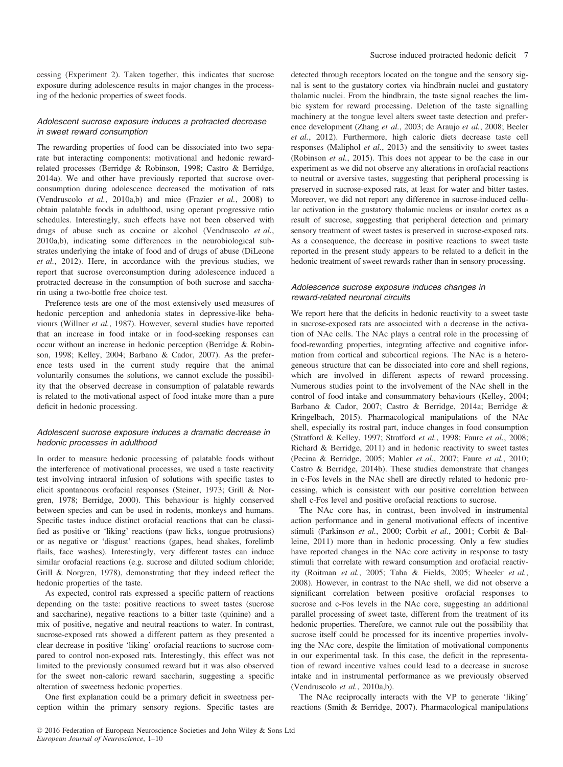cessing (Experiment 2). Taken together, this indicates that sucrose exposure during adolescence results in major changes in the processing of the hedonic properties of sweet foods.

## Adolescent sucrose exposure induces a protracted decrease in sweet reward consumption

The rewarding properties of food can be dissociated into two separate but interacting components: motivational and hedonic rewardrelated processes (Berridge & Robinson, 1998; Castro & Berridge, 2014a). We and other have previously reported that sucrose overconsumption during adolescence decreased the motivation of rats (Vendruscolo et al., 2010a,b) and mice (Frazier et al., 2008) to obtain palatable foods in adulthood, using operant progressive ratio schedules. Interestingly, such effects have not been observed with drugs of abuse such as cocaine or alcohol (Vendruscolo et al., 2010a,b), indicating some differences in the neurobiological substrates underlying the intake of food and of drugs of abuse (DiLeone et al., 2012). Here, in accordance with the previous studies, we report that sucrose overconsumption during adolescence induced a protracted decrease in the consumption of both sucrose and saccharin using a two-bottle free choice test.

Preference tests are one of the most extensively used measures of hedonic perception and anhedonia states in depressive-like behaviours (Willner et al., 1987). However, several studies have reported that an increase in food intake or in food-seeking responses can occur without an increase in hedonic perception (Berridge & Robinson, 1998; Kelley, 2004; Barbano & Cador, 2007). As the preference tests used in the current study require that the animal voluntarily consumes the solutions, we cannot exclude the possibility that the observed decrease in consumption of palatable rewards is related to the motivational aspect of food intake more than a pure deficit in hedonic processing.

# Adolescent sucrose exposure induces a dramatic decrease in hedonic processes in adulthood

In order to measure hedonic processing of palatable foods without the interference of motivational processes, we used a taste reactivity test involving intraoral infusion of solutions with specific tastes to elicit spontaneous orofacial responses (Steiner, 1973; Grill & Norgren, 1978; Berridge, 2000). This behaviour is highly conserved between species and can be used in rodents, monkeys and humans. Specific tastes induce distinct orofacial reactions that can be classified as positive or 'liking' reactions (paw licks, tongue protrusions) or as negative or 'disgust' reactions (gapes, head shakes, forelimb flails, face washes). Interestingly, very different tastes can induce similar orofacial reactions (e.g. sucrose and diluted sodium chloride; Grill & Norgren, 1978), demonstrating that they indeed reflect the hedonic properties of the taste.

As expected, control rats expressed a specific pattern of reactions depending on the taste: positive reactions to sweet tastes (sucrose and saccharine), negative reactions to a bitter taste (quinine) and a mix of positive, negative and neutral reactions to water. In contrast, sucrose-exposed rats showed a different pattern as they presented a clear decrease in positive 'liking' orofacial reactions to sucrose compared to control non-exposed rats. Interestingly, this effect was not limited to the previously consumed reward but it was also observed for the sweet non-caloric reward saccharin, suggesting a specific alteration of sweetness hedonic properties.

One first explanation could be a primary deficit in sweetness perception within the primary sensory regions. Specific tastes are detected through receptors located on the tongue and the sensory signal is sent to the gustatory cortex via hindbrain nuclei and gustatory thalamic nuclei. From the hindbrain, the taste signal reaches the limbic system for reward processing. Deletion of the taste signalling machinery at the tongue level alters sweet taste detection and preference development (Zhang et al., 2003; de Araujo et al., 2008; Beeler et al., 2012). Furthermore, high caloric diets decrease taste cell responses (Maliphol et al., 2013) and the sensitivity to sweet tastes (Robinson et al., 2015). This does not appear to be the case in our experiment as we did not observe any alterations in orofacial reactions to neutral or aversive tastes, suggesting that peripheral processing is preserved in sucrose-exposed rats, at least for water and bitter tastes. Moreover, we did not report any difference in sucrose-induced cellular activation in the gustatory thalamic nucleus or insular cortex as a result of sucrose, suggesting that peripheral detection and primary sensory treatment of sweet tastes is preserved in sucrose-exposed rats. As a consequence, the decrease in positive reactions to sweet taste reported in the present study appears to be related to a deficit in the hedonic treatment of sweet rewards rather than in sensory processing.

## Adolescence sucrose exposure induces changes in reward-related neuronal circuits

We report here that the deficits in hedonic reactivity to a sweet taste in sucrose-exposed rats are associated with a decrease in the activation of NAc cells. The NAc plays a central role in the processing of food-rewarding properties, integrating affective and cognitive information from cortical and subcortical regions. The NAc is a heterogeneous structure that can be dissociated into core and shell regions, which are involved in different aspects of reward processing. Numerous studies point to the involvement of the NAc shell in the control of food intake and consummatory behaviours (Kelley, 2004; Barbano & Cador, 2007; Castro & Berridge, 2014a; Berridge & Kringelbach, 2015). Pharmacological manipulations of the NAc shell, especially its rostral part, induce changes in food consumption (Stratford & Kelley, 1997; Stratford et al., 1998; Faure et al., 2008; Richard & Berridge, 2011) and in hedonic reactivity to sweet tastes (Pecina & Berridge, 2005; Mahler et al., 2007; Faure et al., 2010; Castro & Berridge, 2014b). These studies demonstrate that changes in c-Fos levels in the NAc shell are directly related to hedonic processing, which is consistent with our positive correlation between shell c-Fos level and positive orofacial reactions to sucrose.

The NAc core has, in contrast, been involved in instrumental action performance and in general motivational effects of incentive stimuli (Parkinson et al., 2000; Corbit et al., 2001; Corbit & Balleine, 2011) more than in hedonic processing. Only a few studies have reported changes in the NAc core activity in response to tasty stimuli that correlate with reward consumption and orofacial reactivity (Roitman et al., 2005; Taha & Fields, 2005; Wheeler et al., 2008). However, in contrast to the NAc shell, we did not observe a significant correlation between positive orofacial responses to sucrose and c-Fos levels in the NAc core, suggesting an additional parallel processing of sweet taste, different from the treatment of its hedonic properties. Therefore, we cannot rule out the possibility that sucrose itself could be processed for its incentive properties involving the NAc core, despite the limitation of motivational components in our experimental task. In this case, the deficit in the representation of reward incentive values could lead to a decrease in sucrose intake and in instrumental performance as we previously observed (Vendruscolo et al., 2010a,b).

The NAc reciprocally interacts with the VP to generate 'liking' reactions (Smith & Berridge, 2007). Pharmacological manipulations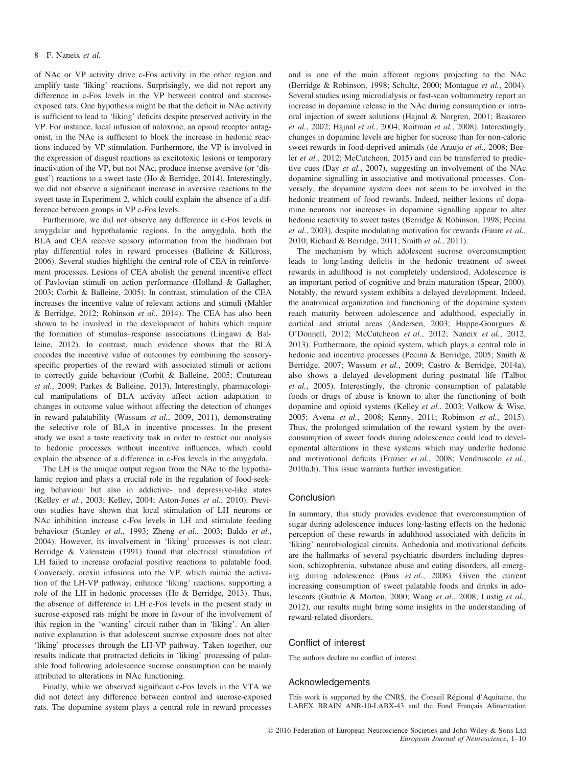of NAc or VP activity drive c-Fos activity in the other region and amplify taste 'liking' reactions. Surprisingly, we did not report any difference in c-Fos levels in the VP between control and sucroseexposed rats. One hypothesis might be that the deficit in NAc activity is sufficient to lead to 'liking' deficits despite preserved activity in the VP. For instance, local infusion of naloxone, an opioid receptor antagonist, in the NAc is sufficient to block the increase in hedonic reactions induced by VP stimulation. Furthermore, the VP is involved in the expression of disgust reactions as excitotoxic lesions or temporary inactivation of the VP, but not NAc, produce intense aversive (or 'disgust') reactions to a sweet taste (Ho & Berridge, 2014). Interestingly, we did not observe a significant increase in aversive reactions to the sweet taste in Experiment 2, which could explain the absence of a difference between groups in VP c-Fos levels.

Furthermore, we did not observe any difference in c-Fos levels in amygdalar and hypothalamic regions. In the amygdala, both the BLA and CEA receive sensory information from the hindbrain but play differential roles in reward processes (Balleine & Killcross, 2006). Several studies highlight the central role of CEA in reinforcement processes. Lesions of CEA abolish the general incentive effect of Pavlovian stimuli on action performance (Holland & Gallagher, 2003; Corbit & Balleine, 2005). In contrast, stimulation of the CEA increases the incentive value of relevant actions and stimuli (Mahler & Berridge, 2012; Robinson et al., 2014). The CEA has also been shown to be involved in the development of habits which require the formation of stimulus–response associations (Lingawi & Balleine, 2012). In contrast, much evidence shows that the BLA encodes the incentive value of outcomes by combining the sensoryspecific properties of the reward with associated stimuli or actions to correctly guide behaviour (Corbit & Balleine, 2005; Coutureau et al., 2009; Parkes & Balleine, 2013). Interestingly, pharmacological manipulations of BLA activity affect action adaptation to changes in outcome value without affecting the detection of changes in reward palatability (Wassum et al., 2009, 2011), demonstrating the selective role of BLA in incentive processes. In the present study we used a taste reactivity task in order to restrict our analysis to hedonic processes without incentive influences, which could explain the absence of a difference in c-Fos levels in the amygdala.

The LH is the unique output region from the NAc to the hypothalamic region and plays a crucial role in the regulation of food-seeking behaviour but also in addictive- and depressive-like states (Kelley et al., 2003; Kelley, 2004; Aston-Jones et al., 2010). Previous studies have shown that local stimulation of LH neurons or NAc inhibition increase c-Fos levels in LH and stimulate feeding behaviour (Stanley et al., 1993; Zheng et al., 2003; Baldo et al., 2004). However, its involvement in 'liking' processes is not clear. Berridge & Valenstein (1991) found that electrical stimulation of LH failed to increase orofacial positive reactions to palatable food. Conversely, orexin infusions into the VP, which mimic the activation of the LH-VP pathway, enhance 'liking' reactions, supporting a role of the LH in hedonic processes (Ho & Berridge, 2013). Thus, the absence of difference in LH c-Fos levels in the present study in sucrose-exposed rats might be more in favour of the involvement of this region in the 'wanting' circuit rather than in 'liking'. An alternative explanation is that adolescent sucrose exposure does not alter 'liking' processes through the LH-VP pathway. Taken together, our results indicate that protracted deficits in 'liking' processing of palatable food following adolescence sucrose consumption can be mainly attributed to alterations in NAc functioning.

Finally, while we observed significant c-Fos levels in the VTA we did not detect any difference between control and sucrose-exposed rats. The dopamine system plays a central role in reward processes and is one of the main afferent regions projecting to the NAc (Berridge & Robinson, 1998; Schultz, 2000; Montague et al., 2004). Several studies using microdialysis or fast-scan voltammetry report an increase in dopamine release in the NAc during consumption or intraoral injection of sweet solutions (Hajnal & Norgren, 2001; Bassareo et al., 2002; Hajnal et al., 2004; Roitman et al., 2008). Interestingly, changes in dopamine levels are higher for sucrose than for non-caloric sweet rewards in food-deprived animals (de Araujo et al., 2008; Beeler et al., 2012; McCutcheon, 2015) and can be transferred to predictive cues (Day et al., 2007), suggesting an involvement of the NAc dopamine signalling in associative and motivational processes. Conversely, the dopamine system does not seem to be involved in the hedonic treatment of food rewards. Indeed, neither lesions of dopamine neurons nor increases in dopamine signalling appear to alter hedonic reactivity to sweet tastes (Berridge & Robinson, 1998; Pecina et al., 2003), despite modulating motivation for rewards (Faure et al., 2010; Richard & Berridge, 2011; Smith et al., 2011).

The mechanism by which adolescent sucrose overconsumption leads to long-lasting deficits in the hedonic treatment of sweet rewards in adulthood is not completely understood. Adolescence is an important period of cognitive and brain maturation (Spear, 2000). Notably, the reward system exhibits a delayed development. Indeed, the anatomical organization and functioning of the dopamine system reach maturity between adolescence and adulthood, especially in cortical and striatal areas (Andersen, 2003; Huppe-Gourgues & O'Donnell, 2012; McCutcheon et al., 2012; Naneix et al., 2012, 2013). Furthermore, the opioid system, which plays a central role in hedonic and incentive processes (Pecina & Berridge, 2005; Smith & Berridge, 2007; Wassum et al., 2009; Castro & Berridge, 2014a), also shows a delayed development during postnatal life (Talbot et al., 2005). Interestingly, the chronic consumption of palatable foods or drugs of abuse is known to alter the functioning of both dopamine and opioid systems (Kelley et al., 2003; Volkow & Wise, 2005; Avena et al., 2008; Kenny, 2011; Robinson et al., 2015). Thus, the prolonged stimulation of the reward system by the overconsumption of sweet foods during adolescence could lead to developmental alterations in these systems which may underlie hedonic and motivational deficits (Frazier et al., 2008; Vendruscolo et al., 2010a,b). This issue warrants further investigation.

## Conclusion

In summary, this study provides evidence that overconsumption of sugar during adolescence induces long-lasting effects on the hedonic perception of these rewards in adulthood associated with deficits in 'liking' neurobiological circuits. Anhedonia and motivational deficits are the hallmarks of several psychiatric disorders including depression, schizophrenia, substance abuse and eating disorders, all emerging during adolescence (Paus et al., 2008). Given the current increasing consumption of sweet palatable foods and drinks in adolescents (Guthrie & Morton, 2000; Wang et al., 2008; Lustig et al., 2012), our results might bring some insights in the understanding of reward-related disorders.

#### Conflict of interest

The authors declare no conflict of interest.

#### Acknowledgements

This work is supported by the CNRS, the Conseil Regional d'Aquitaine, the LABEX BRAIN ANR-10-LABX-43 and the Fond Francais Alimentation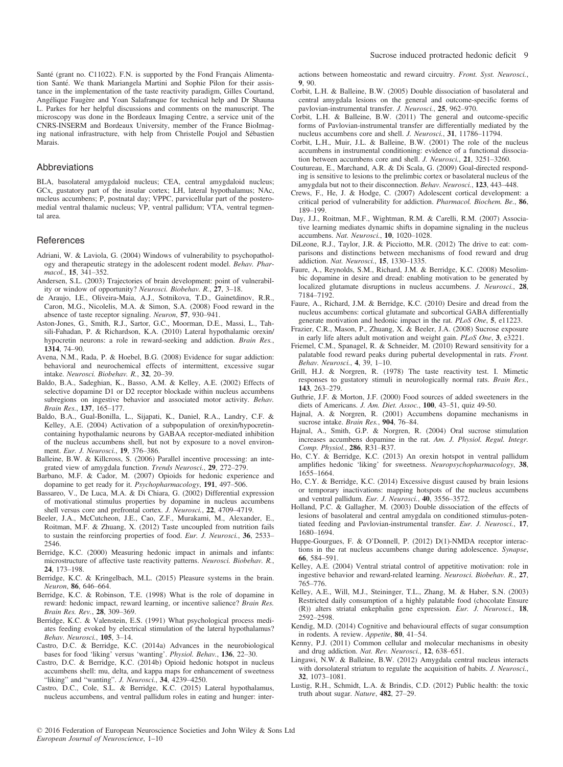Santé (grant no. C11022). F.N. is supported by the Fond Français Alimentation Santé. We thank Mariangela Martini and Sophie Pilon for their assistance in the implementation of the taste reactivity paradigm, Gilles Courtand, Angélique Faugère and Yoan Salafranque for technical help and Dr Shauna L. Parkes for her helpful discussions and comments on the manuscript. The microscopy was done in the Bordeaux Imaging Centre, a service unit of the CNRS-INSERM and Bordeaux University, member of the France BioImaging national infrastructure, with help from Christelle Poujol and Sebastien Marais.

#### Abbreviations

BLA, basolateral amygdaloid nucleus; CEA, central amygdaloid nucleus; GCx, gustatory part of the insular cortex; LH, lateral hypothalamus; NAc, nucleus accumbens; P, postnatal day; VPPC, parvicellular part of the posteromedial ventral thalamic nucleus; VP, ventral pallidum; VTA, ventral tegmental area.

#### **References**

- Adriani, W. & Laviola, G. (2004) Windows of vulnerability to psychopathology and therapeutic strategy in the adolescent rodent model. Behav. Pharmacol., 15, 341–352.
- Andersen, S.L. (2003) Trajectories of brain development: point of vulnerability or window of opportunity? Neurosci. Biobehav. R., 27, 3–18.
- de Araujo, I.E., Oliveira-Maia, A.J., Sotnikova, T.D., Gainetdinov, R.R., Caron, M.G., Nicolelis, M.A. & Simon, S.A. (2008) Food reward in the absence of taste receptor signaling. Neuron, 57, 930–941.
- Aston-Jones, G., Smith, R.J., Sartor, G.C., Moorman, D.E., Massi, L., Tahsili-Fahadan, P. & Richardson, K.A. (2010) Lateral hypothalamic orexin/ hypocretin neurons: a role in reward-seeking and addiction. Brain Res., 1314, 74–90.
- Avena, N.M., Rada, P. & Hoebel, B.G. (2008) Evidence for sugar addiction: behavioral and neurochemical effects of intermittent, excessive sugar intake. Neurosci. Biobehav. R., 32, 20–39.
- Baldo, B.A., Sadeghian, K., Basso, A.M. & Kelley, A.E. (2002) Effects of selective dopamine D1 or D2 receptor blockade within nucleus accumbens subregions on ingestive behavior and associated motor activity. Behav. Brain Res., 137, 165–177.
- Baldo, B.A., Gual-Bonilla, L., Sijapati, K., Daniel, R.A., Landry, C.F. & Kelley, A.E. (2004) Activation of a subpopulation of orexin/hypocretincontaining hypothalamic neurons by GABAA receptor-mediated inhibition of the nucleus accumbens shell, but not by exposure to a novel environment. Eur. J. Neurosci., 19, 376–386.
- Balleine, B.W. & Killcross, S. (2006) Parallel incentive processing: an integrated view of amygdala function. Trends Neurosci., 29, 272–279.
- Barbano, M.F. & Cador, M. (2007) Opioids for hedonic experience and dopamine to get ready for it. Psychopharmacology, 191, 497–506.
- Bassareo, V., De Luca, M.A. & Di Chiara, G. (2002) Differential expression of motivational stimulus properties by dopamine in nucleus accumbens shell versus core and prefrontal cortex. J. Neurosci., 22, 4709–4719.
- Beeler, J.A., McCutcheon, J.E., Cao, Z.F., Murakami, M., Alexander, E., Roitman, M.F. & Zhuang, X. (2012) Taste uncoupled from nutrition fails to sustain the reinforcing properties of food. Eur. J. Neurosci., 36, 2533– 2546.
- Berridge, K.C. (2000) Measuring hedonic impact in animals and infants: microstructure of affective taste reactivity patterns. Neurosci. Biobehav. R., 24, 173–198.
- Berridge, K.C. & Kringelbach, M.L. (2015) Pleasure systems in the brain. Neuron, 86, 646–664.
- Berridge, K.C. & Robinson, T.E. (1998) What is the role of dopamine in reward: hedonic impact, reward learning, or incentive salience? Brain Res. Brain Res. Rev., 28, 309–369.
- Berridge, K.C. & Valenstein, E.S. (1991) What psychological process mediates feeding evoked by electrical stimulation of the lateral hypothalamus? Behav. Neurosci., 105, 3–14.
- Castro, D.C. & Berridge, K.C. (2014a) Advances in the neurobiological bases for food 'liking' versus 'wanting'. Physiol. Behav., 136, 22–30.
- Castro, D.C. & Berridge, K.C. (2014b) Opioid hedonic hotspot in nucleus accumbens shell: mu, delta, and kappa maps for enhancement of sweetness "liking" and "wanting". J. Neurosci., 34, 4239-4250.
- Castro, D.C., Cole, S.L. & Berridge, K.C. (2015) Lateral hypothalamus, nucleus accumbens, and ventral pallidum roles in eating and hunger: inter-

actions between homeostatic and reward circuitry. Front. Syst. Neurosci., 9, 90.

- Corbit, L.H. & Balleine, B.W. (2005) Double dissociation of basolateral and central amygdala lesions on the general and outcome-specific forms of pavlovian-instrumental transfer. J. Neurosci., 25, 962–970.
- Corbit, L.H. & Balleine, B.W. (2011) The general and outcome-specific forms of Pavlovian-instrumental transfer are differentially mediated by the nucleus accumbens core and shell. J. Neurosci., 31, 11786–11794.
- Corbit, L.H., Muir, J.L. & Balleine, B.W. (2001) The role of the nucleus accumbens in instrumental conditioning: evidence of a functional dissociation between accumbens core and shell. J. Neurosci., 21, 3251–3260.
- Coutureau, E., Marchand, A.R. & Di Scala, G. (2009) Goal-directed responding is sensitive to lesions to the prelimbic cortex or basolateral nucleus of the amygdala but not to their disconnection. Behav. Neurosci., 123, 443–448.
- Crews, F., He, J. & Hodge, C. (2007) Adolescent cortical development: a critical period of vulnerability for addiction. Pharmacol. Biochem. Be., 86, 189–199.
- Day, J.J., Roitman, M.F., Wightman, R.M. & Carelli, R.M. (2007) Associative learning mediates dynamic shifts in dopamine signaling in the nucleus accumbens. Nat. Neurosci., 10, 1020–1028.
- DiLeone, R.J., Taylor, J.R. & Picciotto, M.R. (2012) The drive to eat: comparisons and distinctions between mechanisms of food reward and drug addiction. Nat. Neurosci., 15, 1330–1335.
- Faure, A., Reynolds, S.M., Richard, J.M. & Berridge, K.C. (2008) Mesolimbic dopamine in desire and dread: enabling motivation to be generated by localized glutamate disruptions in nucleus accumbens. J. Neurosci., 28, 7184–7192.
- Faure, A., Richard, J.M. & Berridge, K.C. (2010) Desire and dread from the nucleus accumbens: cortical glutamate and subcortical GABA differentially generate motivation and hedonic impact in the rat. PLoS One, 5, e11223.
- Frazier, C.R., Mason, P., Zhuang, X. & Beeler, J.A. (2008) Sucrose exposure in early life alters adult motivation and weight gain. PLoS One, 3, e3221.
- Friemel, C.M., Spanagel, R. & Schneider, M. (2010) Reward sensitivity for a palatable food reward peaks during pubertal developmental in rats. Front. Behav. Neurosci., 4, 39, 1–10.
- Grill, H.J. & Norgren, R. (1978) The taste reactivity test. I. Mimetic responses to gustatory stimuli in neurologically normal rats. Brain Res., 143, 263–279.
- Guthrie, J.F. & Morton, J.F. (2000) Food sources of added sweeteners in the diets of Americans. J. Am. Diet. Assoc., 100, 43-51, quiz 49-50.
- Hajnal, A. & Norgren, R. (2001) Accumbens dopamine mechanisms in sucrose intake. Brain Res., 904, 76-84.
- Hajnal, A., Smith, G.P. & Norgren, R. (2004) Oral sucrose stimulation increases accumbens dopamine in the rat. Am. J. Physiol. Regul. Integr. Comp. Physiol., 286, R31–R37.
- Ho, C.Y. & Berridge, K.C. (2013) An orexin hotspot in ventral pallidum amplifies hedonic 'liking' for sweetness. Neuropsychopharmacology, 38, 1655–1664.
- Ho, C.Y. & Berridge, K.C. (2014) Excessive disgust caused by brain lesions or temporary inactivations: mapping hotspots of the nucleus accumbens and ventral pallidum. Eur. J. Neurosci., 40, 3556–3572.
- Holland, P.C. & Gallagher, M. (2003) Double dissociation of the effects of lesions of basolateral and central amygdala on conditioned stimulus-potentiated feeding and Pavlovian-instrumental transfer. Eur. J. Neurosci., 17, 1680–1694.
- Huppe-Gourgues, F. & O'Donnell, P. (2012) D(1)-NMDA receptor interactions in the rat nucleus accumbens change during adolescence. Synapse, 66, 584–591.
- Kelley, A.E. (2004) Ventral striatal control of appetitive motivation: role in ingestive behavior and reward-related learning. Neurosci. Biobehav. R., 27, 765–776.
- Kelley, A.E., Will, M.J., Steininger, T.L., Zhang, M. & Haber, S.N. (2003) Restricted daily consumption of a highly palatable food (chocolate Ensure (R)) alters striatal enkephalin gene expression. Eur. J. Neurosci., 18, 2592–2598.
- Kendig, M.D. (2014) Cognitive and behavioural effects of sugar consumption in rodents. A review. Appetite, 80, 41–54.
- Kenny, P.J. (2011) Common cellular and molecular mechanisms in obesity and drug addiction. Nat. Rev. Neurosci., 12, 638–651.
- Lingawi, N.W. & Balleine, B.W. (2012) Amygdala central nucleus interacts with dorsolateral striatum to regulate the acquisition of habits. J. Neurosci., 32, 1073–1081.
- Lustig, R.H., Schmidt, L.A. & Brindis, C.D. (2012) Public health: the toxic truth about sugar. Nature, 482, 27–29.